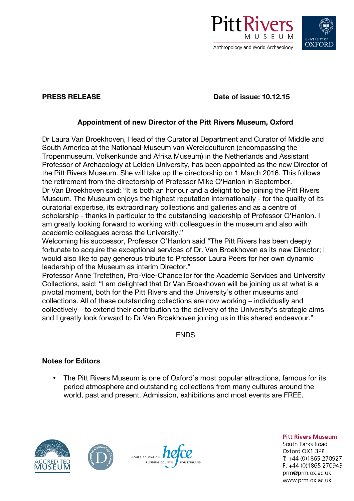



**PRESS RELEASE Date of issue: 10.12.15**

## **Appointment of new Director of the Pitt Rivers Museum, Oxford**

Dr Laura Van Broekhoven, Head of the Curatorial Department and Curator of Middle and South America at the Nationaal Museum van Wereldculturen (encompassing the Tropenmuseum, Volkenkunde and Afrika Museum) in the Netherlands and Assistant Professor of Archaeology at Leiden University, has been appointed as the new Director of the Pitt Rivers Museum. She will take up the directorship on 1 March 2016. This follows the retirement from the directorship of Professor Mike O'Hanlon in September. Dr Van Broekhoven said: "It is both an honour and a delight to be joining the Pitt Rivers Museum. The Museum enjoys the highest reputation internationally - for the quality of its curatorial expertise, its extraordinary collections and galleries and as a centre of scholarship - thanks in particular to the outstanding leadership of Professor O'Hanlon. I am greatly looking forward to working with colleagues in the museum and also with academic colleagues across the University."

Welcoming his successor, Professor O'Hanlon said "The Pitt Rivers has been deeply fortunate to acquire the exceptional services of Dr. Van Broekhoven as its new Director; I would also like to pay generous tribute to Professor Laura Peers for her own dynamic leadership of the Museum as interim Director."

Professor Anne Trefethen, Pro-Vice-Chancellor for the Academic Services and University Collections, said: "I am delighted that Dr Van Broekhoven will be joining us at what is a pivotal moment, both for the Pitt Rivers and the University's other museums and collections. All of these outstanding collections are now working – individually and collectively – to extend their contribution to the delivery of the University's strategic aims and I greatly look forward to Dr Van Broekhoven joining us in this shared endeavour."

ENDS

## **Notes for Editors**

• The Pitt Rivers Museum is one of Oxford's most popular attractions, famous for its period atmosphere and outstanding collections from many cultures around the world, past and present. Admission, exhibitions and most events are FREE.







**Pitt Rivers Museum** South Parks Road Oxford OX1 3PP T: +44 (0)1865 270927  $F: +44(0)1865270943$ prm@prm.ox.ac.uk

www.prm.ox.ac.uk